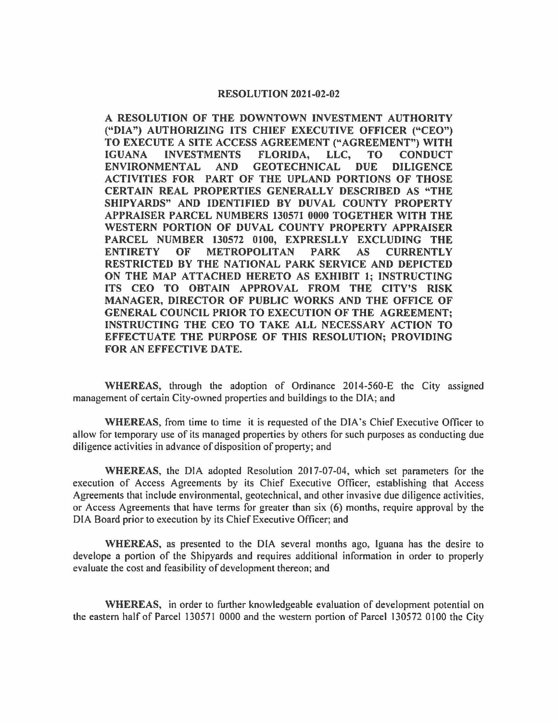## RESOLUTION 2021-02-02

A RESOLUTION OF THE DOWNTOWN INVESTMENT AUTHORITY ("DIA") AUTHORIZING ITS CHIEF EXECUTIVE OFFICER ("CEO") TO EXECUTE A SITE ACCESS AGREEMENT ("AGREEMENT") WITH IGUANA INVESTMENTS FLORIDA, LLC, TO CONDUCT ENVIRONMENTAL AND GEOTECHNICAL DUE DILIGENCE ACTIVITIES FOR PART OF THE UPLAND PORTIONS OF THOSE CERTAIN REAL PROPERTIES GENERALLY DESCRIBED AS "THE SHIPYARDS" AND IDENTIFIED BY DUVAL COUNTY PROPERTY APPRAISER PARCEL NUMBERS 130571 0000 TOGETHER WITH THE WESTERN PORTION OF DUVAL COUNTY PROPERTY APPRAISER PARCEL NUMBER 130572 0100, EXPRESLLY EXCLUDING THE ENTIRETY OF METROPOLITAN PARK AS CURRENTLY RESTRICTED BY THE NATIONAL PARK SERVICE AND DEPICTED ON THE MAP ATTACHED HERETO AS EXHIBIT 1; INSTRUCTING ITS CEO TO OBTAIN APPROVAL FROM THE CITY'S RISK **MANAGER, DIRECTOR OF PUBLIC WORKS AND THE OFFICE OF GENERAL COUNCIL PRIOR TO EXECUTION OF THE AGREEMENT; INSTRUCTING THE CEO TO TAKE ALL NECESSARY ACTION TO EFFECTUATE THE PURPOSE OF THIS RESOLUTION; PROVIDING FOR AN EFFECTIVE DATE.** 

**WHEREAS,** through the adoption of Ordinance 2014-560-E the City assigned management of certain City-owned properties and buildings to the DIA; and

**WHEREAS,** from time to time it is requested of the DIA 's Chief Executive Officer to allow for temporary use of its managed properties by others for such purposes as conducting due diligence activities in advance of disposition of property; and

**WHEREAS,** the DIA adopted Resolution 2017-07-04, which set parameters for the execution of Access Agreements by its Chief Executive Officer, establishing that Access Agreements that include environmental, geotechnical, and other invasive due diligence activities, or Access Agreements that have terms for greater than six (6) months, require approval by the DIA Board prior to execution by its Chief Executive Officer; and

**WHEREAS,** as presented to the DIA several months ago, Iguana has the desire to develope a portion of the Shipyards and requires additional information in order to properly evaluate the cost and feasibility of development thereon; and

**WHEREAS,** in order to further knowledgeable evaluation of development potential on the eastern half of Parcel 130571 0000 and the western portion of Parcel 130572 0100 the City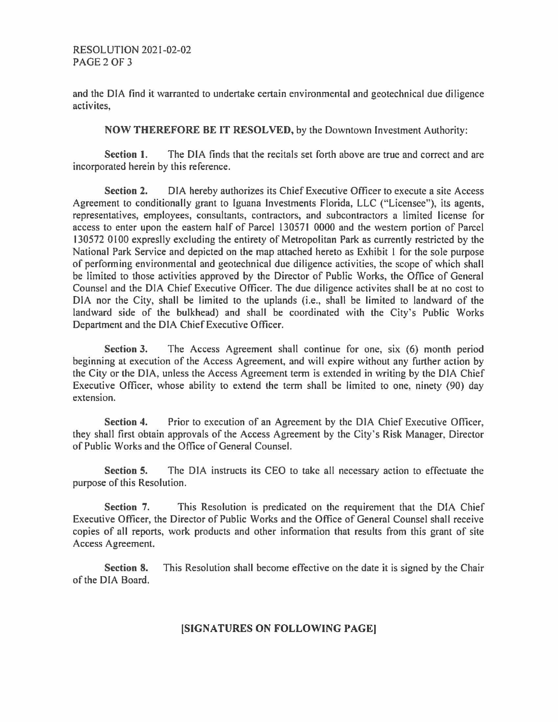and the DIA find it warranted to undertake certain environmental and geotechnical due diligence activites,

**NOW THEREFORE BE IT RESOLVED,** by the Downtown Investment Authority:

**Section 1.** The DIA finds that the recitals set forth above are true and correct and are incorporated herein by this reference.

**Section 2.** DIA hereby authorizes its Chief Executive Officer to execute a site Access Agreement to conditionally grant to Iguana Investments Florida, LLC ("Licensee"), its agents, representatives, employees, consultants, contractors, and subcontractors a limited license for access to enter upon the eastern half of Parcel 130571 0000 and the western portion of Parcel 130572 0100 expreslly excluding the entirety of Metropolitan Park as currently restricted by the National Park Service and depicted on the map attached hereto as Exhibit I for the sole purpose of performing environmental and geotechnical due diligence activities, the scope of which shall be limited to those activities approved by the Director of Public Works, the Office of General Counsel and the DIA Chief Executive Officer. The due diligence activites shall be at no cost to DIA nor the City, shall be limited to the uplands (i.e., shall be limited to landward of the landward side of the bulkhead) and shall be coordinated with the City's Public Works Department and the DIA Chief Executive Officer.

**Section 3.** The Access Agreement shall continue for one, six (6) month period beginning at execution of the Access Agreement, and will expire without any further action by the City or the DIA, unless the Access Agreement term is extended in writing by the DIA Chief Executive Officer, whose ability to extend the term shall be limited to one, ninety (90) day extension.

**Section 4.** Prior to execution of an Agreement by the DIA Chief Executive Officer, they shall first obtain approvals of the Access Agreement by the City's Risk Manager, Director of Public Works and the Office of General Counsel.

**Section 5.** The DIA instructs its CEO to take all necessary action to effectuate the purpose of this Resolution.

**Section** 7. This Resolution is predicated on the requirement that the DIA Chief Executive Officer, the Director of Public Works and the Office of General Counsel shall receive copies of all reports, work products and other information that results from this grant of site Access Agreement.

**Section 8.** This Resolution shall become effective on the date it is signed by the Chair of the DIA Board.

## **[SIGNATURES ON FOLLOWING PAGE)**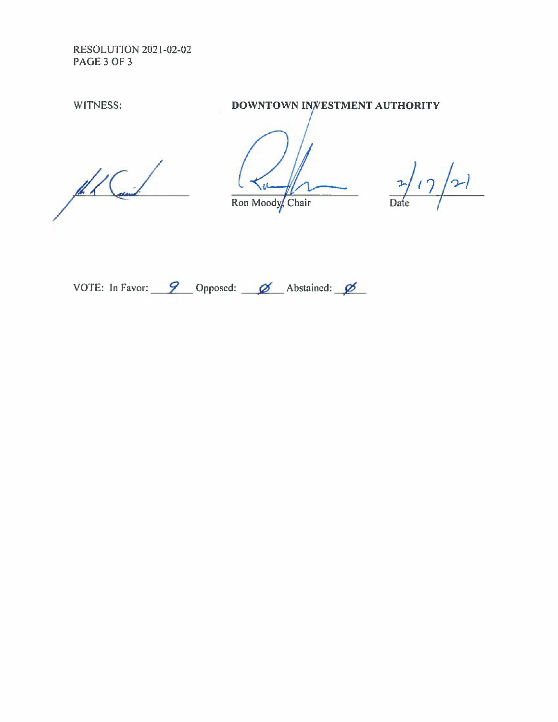RESOLUTION 2021-02-02 PAGE 3 OF 3

WITNESS: **DOWNTOWN IN WESTMENT AUTHORITY** 

 $\frac{1}{\sqrt{2}}$ 

 $\overline{\boldsymbol{\mathcal{U}}}$ Ron Moody Chair

 $\frac{2}{\text{Date}}$ 

VOTE: In Favor: 9 Opposed: 6 Abstained:  $\cancel{\phi}$